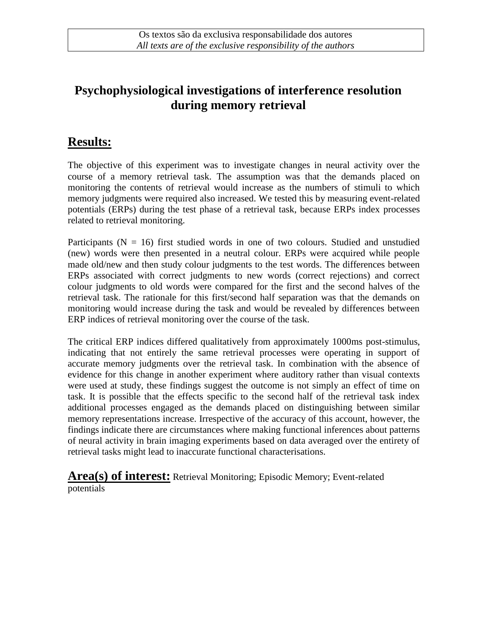## **Psychophysiological investigations of interference resolution during memory retrieval**

## **Results:**

The objective of this experiment was to investigate changes in neural activity over the course of a memory retrieval task. The assumption was that the demands placed on monitoring the contents of retrieval would increase as the numbers of stimuli to which memory judgments were required also increased. We tested this by measuring event-related potentials (ERPs) during the test phase of a retrieval task, because ERPs index processes related to retrieval monitoring.

Participants ( $N = 16$ ) first studied words in one of two colours. Studied and unstudied (new) words were then presented in a neutral colour. ERPs were acquired while people made old/new and then study colour judgments to the test words. The differences between ERPs associated with correct judgments to new words (correct rejections) and correct colour judgments to old words were compared for the first and the second halves of the retrieval task. The rationale for this first/second half separation was that the demands on monitoring would increase during the task and would be revealed by differences between ERP indices of retrieval monitoring over the course of the task.

The critical ERP indices differed qualitatively from approximately 1000ms post-stimulus, indicating that not entirely the same retrieval processes were operating in support of accurate memory judgments over the retrieval task. In combination with the absence of evidence for this change in another experiment where auditory rather than visual contexts were used at study, these findings suggest the outcome is not simply an effect of time on task. It is possible that the effects specific to the second half of the retrieval task index additional processes engaged as the demands placed on distinguishing between similar memory representations increase. Irrespective of the accuracy of this account, however, the findings indicate there are circumstances where making functional inferences about patterns of neural activity in brain imaging experiments based on data averaged over the entirety of retrieval tasks might lead to inaccurate functional characterisations.

**Area(s) of interest:** Retrieval Monitoring; Episodic Memory; Event-related potentials